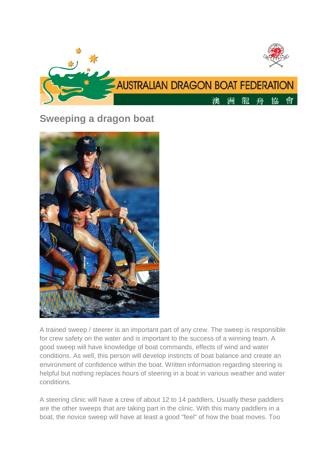

# **Sweeping a dragon boat**



A trained sweep / steerer is an important part of any crew. The sweep is responsible for crew safety on the water and is important to the success of a winning team. A good sweep will have knowledge of boat commands, effects of wind and water conditions. As well, this person will develop instincts of boat balance and create an environment of confidence within the boat. Written information regarding steering is helpful but nothing replaces hours of steering in a boat in various weather and water conditions.

A steering clinic will have a crew of about 12 to 14 paddlers. Usually these paddlers are the other sweeps that are taking part in the clinic. With this many paddlers in a boat, the novice sweep will have at least a good "feel" of how the boat moves. Too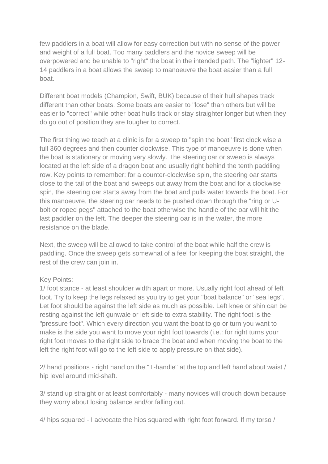few paddlers in a boat will allow for easy correction but with no sense of the power and weight of a full boat. Too many paddlers and the novice sweep will be overpowered and be unable to "right" the boat in the intended path. The "lighter" 12- 14 paddlers in a boat allows the sweep to manoeuvre the boat easier than a full boat.

Different boat models (Champion, Swift, BUK) because of their hull shapes track different than other boats. Some boats are easier to "lose" than others but will be easier to "correct" while other boat hulls track or stay straighter longer but when they do go out of position they are tougher to correct.

The first thing we teach at a clinic is for a sweep to "spin the boat" first clock wise a full 360 degrees and then counter clockwise. This type of manoeuvre is done when the boat is stationary or moving very slowly. The steering oar or sweep is always located at the left side of a dragon boat and usually right behind the tenth paddling row. Key points to remember: for a counter-clockwise spin, the steering oar starts close to the tail of the boat and sweeps out away from the boat and for a clockwise spin, the steering oar starts away from the boat and pulls water towards the boat. For this manoeuvre, the steering oar needs to be pushed down through the "ring or Ubolt or roped pegs" attached to the boat otherwise the handle of the oar will hit the last paddler on the left. The deeper the steering oar is in the water, the more resistance on the blade.

Next, the sweep will be allowed to take control of the boat while half the crew is paddling. Once the sweep gets somewhat of a feel for keeping the boat straight, the rest of the crew can join in.

#### Key Points:

1/ foot stance - at least shoulder width apart or more. Usually right foot ahead of left foot. Try to keep the legs relaxed as you try to get your "boat balance" or "sea legs". Let foot should be against the left side as much as possible. Left knee or shin can be resting against the left gunwale or left side to extra stability. The right foot is the "pressure foot". Which every direction you want the boat to go or turn you want to make is the side you want to move your right foot towards (i.e.: for right turns your right foot moves to the right side to brace the boat and when moving the boat to the left the right foot will go to the left side to apply pressure on that side).

2/ hand positions - right hand on the "T-handle" at the top and left hand about waist / hip level around mid-shaft.

3/ stand up straight or at least comfortably - many novices will crouch down because they worry about losing balance and/or falling out.

4/ hips squared - I advocate the hips squared with right foot forward. If my torso /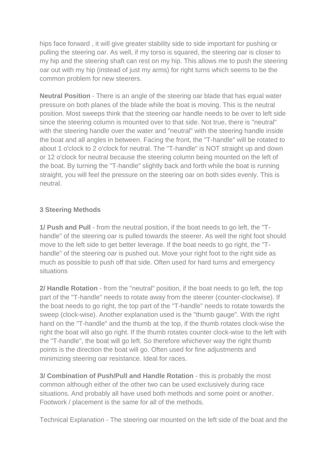hips face forward , it will give greater stability side to side important for pushing or pulling the steering oar. As well, if my torso is squared, the steering oar is closer to my hip and the steering shaft can rest on my hip. This allows me to push the steering oar out with my hip (instead of just my arms) for right turns which seems to be the common problem for new steerers.

**Neutral Position** - There is an angle of the steering oar blade that has equal water pressure on both planes of the blade while the boat is moving. This is the neutral position. Most sweeps think that the steering oar handle needs to be over to left side since the steering column is mounted over to that side. Not true, there is "neutral" with the steering handle over the water and "neutral" with the steering handle inside the boat and all angles in between. Facing the front, the "T-handle" will be rotated to about 1 o'clock to 2 o'clock for neutral. The "T-handle" is NOT straight up and down or 12 o'clock for neutral because the steering column being mounted on the left of the boat. By turning the "T-handle" slightly back and forth while the boat is running straight, you will feel the pressure on the steering oar on both sides evenly. This is neutral.

## **3 Steering Methods**

**1/ Push and Pull** - from the neutral position, if the boat needs to go left, the "Thandle" of the steering oar is pulled towards the steerer. As well the right foot should move to the left side to get better leverage. If the boat needs to go right, the "Thandle" of the steering oar is pushed out. Move your right foot to the right side as much as possible to push off that side. Often used for hard turns and emergency situations

**2/ Handle Rotation** - from the "neutral" position, if the boat needs to go left, the top part of the "T-handle" needs to rotate away from the steerer (counter-clockwise). If the boat needs to go right, the top part of the "T-handle" needs to rotate towards the sweep (clock-wise). Another explanation used is the "thumb gauge". With the right hand on the "T-handle" and the thumb at the top, if the thumb rotates clock-wise the right the boat will also go right. If the thumb rotates counter clock-wise to the left with the "T-handle", the boat will go left. So therefore whichever way the right thumb points is the direction the boat will go. Often used for fine adjustments and minimizing steering oar resistance. Ideal for races.

**3/ Combination of Push/Pull and Handle Rotation** - this is probably the most common although either of the other two can be used exclusively during race situations. And probably all have used both methods and some point or another. Footwork / placement is the same for all of the methods.

Technical Explanation - The steering oar mounted on the left side of the boat and the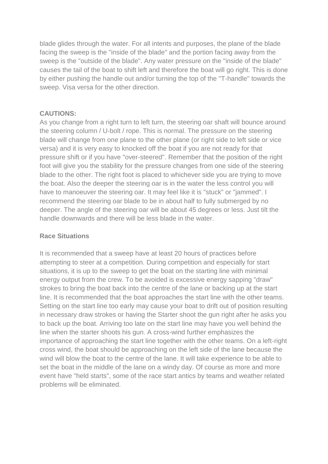blade glides through the water. For all intents and purposes, the plane of the blade facing the sweep is the "inside of the blade" and the portion facing away from the sweep is the "outside of the blade". Any water pressure on the "inside of the blade" causes the tail of the boat to shift left and therefore the boat will go right. This is done by either pushing the handle out and/or turning the top of the "T-handle" towards the sweep. Visa versa for the other direction.

### **CAUTIONS:**

As you change from a right turn to left turn, the steering oar shaft will bounce around the steering column / U-bolt / rope. This is normal. The pressure on the steering blade will change from one plane to the other plane (or right side to left side or vice versa) and it is very easy to knocked off the boat if you are not ready for that pressure shift or if you have "over-steered". Remember that the position of the right foot will give you the stability for the pressure changes from one side of the steering blade to the other. The right foot is placed to whichever side you are trying to move the boat. Also the deeper the steering oar is in the water the less control you will have to manoeuver the steering oar. It may feel like it is "stuck" or "jammed". I recommend the steering oar blade to be in about half to fully submerged by no deeper. The angle of the steering oar will be about 45 degrees or less. Just tilt the handle downwards and there will be less blade in the water.

### **Race Situations**

It is recommended that a sweep have at least 20 hours of practices before attempting to steer at a competition. During competition and especially for start situations, it is up to the sweep to get the boat on the starting line with minimal energy output from the crew. To be avoided is excessive energy sapping "draw" strokes to bring the boat back into the centre of the lane or backing up at the start line. It is recommended that the boat approaches the start line with the other teams. Setting on the start line too early may cause your boat to drift out of position resulting in necessary draw strokes or having the Starter shoot the gun right after he asks you to back up the boat. Arriving too late on the start line may have you well behind the line when the starter shoots his gun. A cross-wind further emphasizes the importance of approaching the start line together with the other teams. On a left-right cross wind, the boat should be approaching on the left side of the lane because the wind will blow the boat to the centre of the lane. It will take experience to be able to set the boat in the middle of the lane on a windy day. Of course as more and more event have "held starts", some of the race start antics by teams and weather related problems will be eliminated.